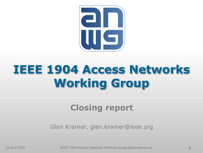

# **IEEE 1904 Access Networks Working Group**

### **Closing report**

Glen Kramer, glen.kramer@ieee.org

*13 April 2022 1 IEEE 1904 Access Networks Working Group (teleconference)*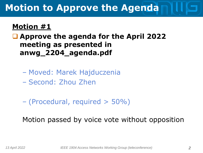## **Motion to Approve the Agenda**

#### **Motion #1**

#### **Approve the agenda for the April 2022 meeting as presented in anwg\_2204\_agenda.pdf**

- Moved: Marek Hajduczenia
- Second: Zhou Zhen
- (Procedural, required > 50%)

Motion passed by voice vote without opposition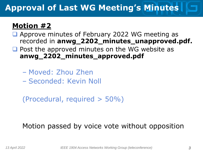### **Approval of Last WG Meeting's Minutes**

#### **Motion #2**

 Approve minutes of February 2022 WG meeting as recorded in **anwg\_2202\_minutes\_unapproved.pdf.** 

 $\Box$  Post the approved minutes on the WG website as **anwg\_2202\_minutes\_approved.pdf**

- Moved: Zhou Zhen
- Seconded: Kevin Noll

(Procedural, required > 50%)

#### Motion passed by voice vote without opposition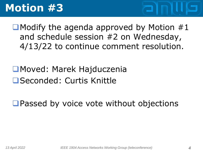## **Motion #3**

 $\Box$  Modify the agenda approved by Motion #1 and schedule session #2 on Wednesday, 4/13/22 to continue comment resolution.

## ■Moved: Marek Hajduczenia **□ Seconded: Curtis Knittle**

**Q** Passed by voice vote without objections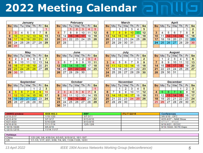# **2022 Meeting Calendar**

|                |    |    | <b>January</b> |    |    |    |
|----------------|----|----|----------------|----|----|----|
| <b>Su</b>      | Mo | Tu | We             | Th | Fr | Sa |
|                |    |    |                |    |    |    |
| $\overline{2}$ | 3  | 4  | 5              | 6  |    | 8  |
| 9              | 10 | 11 | 12             | 13 | 14 | 15 |
| 16             | 17 | 18 | 19             | 20 | 21 | 22 |
| 23             | 24 | 25 | 26             | 27 | 28 | 29 |
| 30             | 31 |    |                |    |    |    |

| <b>February</b><br>Sa |                            |    |    |    |    |    |  |
|-----------------------|----------------------------|----|----|----|----|----|--|
| <b>Su</b>             | We<br>Mo<br>Tu<br>Fr<br>Th |    |    |    |    |    |  |
|                       |                            |    | 2  | з  | 4  | 5  |  |
| 6                     |                            | 8  | 9  | 10 | 11 | 12 |  |
| 13                    | 14                         | 15 | 16 | 17 | 18 | 19 |  |
| 20                    | 21                         | 22 | 23 | 24 | 25 | 26 |  |
| 27                    | 28                         |    |    |    |    |    |  |
|                       |                            |    |    |    |    |    |  |

|                | March |    |    |    |    |                         |  |  |  |  |
|----------------|-------|----|----|----|----|-------------------------|--|--|--|--|
| Su             | Mo    | Tu | We | Th | Fr | Sa                      |  |  |  |  |
|                |       |    | 2  | 3  |    | $\overline{\mathbf{5}}$ |  |  |  |  |
| $6\phantom{1}$ |       | 8  | 9  | 10 | 11 | 12                      |  |  |  |  |
| 13             | 14    | 15 | 16 | 17 | 18 | 19                      |  |  |  |  |
| 20             | 21    | 22 | 23 | 24 | 25 | 26                      |  |  |  |  |
| 27             | 28    | 29 | 30 | 31 |    |                         |  |  |  |  |
|                |       |    |    |    |    |                         |  |  |  |  |

h

|    | April |    |           |           |    |    |  |  |  |  |
|----|-------|----|-----------|-----------|----|----|--|--|--|--|
| Su | Mo    | Tu | <b>We</b> | <b>Th</b> | Fr | Sa |  |  |  |  |
|    |       |    |           |           |    | 2  |  |  |  |  |
| 3  | 4     | 5  | 6         |           | 8  | 9  |  |  |  |  |
| 10 | 11    | 12 | 13        | 14        | 15 | 16 |  |  |  |  |
| 17 | 18    | 19 | 20        | 21        | 22 | 23 |  |  |  |  |
| 24 | 25    | 26 | 27        | 28        | 29 | 30 |  |  |  |  |
|    |       |    |           |           |    |    |  |  |  |  |

|           | <b>May</b> |    |    |    |    |    |  |  |  |  |
|-----------|------------|----|----|----|----|----|--|--|--|--|
| <b>Su</b> | Mo         | Tu | We | Th | Fr | Sa |  |  |  |  |
|           | 2          | з  | 4  | 5  | 6  |    |  |  |  |  |
| 8         | 9          | 10 | 11 | 12 | 13 | 14 |  |  |  |  |
| 15        | 16         | 17 | 18 | 19 | 20 | 21 |  |  |  |  |
| 22        | 23         | 24 | 25 | 26 | 27 | 28 |  |  |  |  |
| 29        | 30         | 31 |    |    |    |    |  |  |  |  |
|           |            |    |    |    |    |    |  |  |  |  |

|                 | June |    |    |    |    |    |  |  |
|-----------------|------|----|----|----|----|----|--|--|
| <b>Su</b>       | Mo   | Tu | We | Th | Fr | Sa |  |  |
|                 |      |    |    | 2  | з  |    |  |  |
| 5               | 6    |    | 8  | 9  | 10 | 11 |  |  |
| $\overline{12}$ | 13   | 14 | 15 | 16 | 17 | 18 |  |  |
| 19              | 20   | 21 | 22 | 23 | 24 | 25 |  |  |
| 26              | 27   | 28 | 29 | 30 |    |    |  |  |
|                 |      |    |    |    |    |    |  |  |

|                 | July |    |    |    |    |    |  |  |  |  |
|-----------------|------|----|----|----|----|----|--|--|--|--|
| <b>Su</b>       | Mo   | Tu | We | Th | Fr | Sa |  |  |  |  |
|                 |      |    |    |    |    | 2  |  |  |  |  |
| 3               | 4    | 5  | 6  |    | 8  | 9  |  |  |  |  |
| 10              | 11   | 12 | 13 | 14 | 15 | 16 |  |  |  |  |
| 17              | 18   | 19 | 20 | 21 | 22 | 23 |  |  |  |  |
| $\overline{24}$ | 25   | 26 | 27 | 28 | 29 | 30 |  |  |  |  |
| $\overline{31}$ |      |    |    |    |    |    |  |  |  |  |

|           | <b>August</b> |    |    |    |    |    |  |  |  |  |
|-----------|---------------|----|----|----|----|----|--|--|--|--|
| <b>Su</b> | Mo            | Tu | We | Th | Fr | Sa |  |  |  |  |
|           |               | 2  | з  | 4  | 5  | 6  |  |  |  |  |
|           | 8             | 9  | 10 | 11 | 12 | 13 |  |  |  |  |
| 14        | 15            | 16 | 17 | 18 | 19 | 20 |  |  |  |  |
| 21        | 22            | 23 | 24 | 25 | 26 | 27 |  |  |  |  |
| 28        | 29            | 30 | 31 |    |    |    |  |  |  |  |
|           |               |    |    |    |    |    |  |  |  |  |

|    | September |    |    |    |    |    |  |  |  |
|----|-----------|----|----|----|----|----|--|--|--|
| Su | Mo        | Tu | We | Th | Fr | Sa |  |  |  |
|    |           |    |    |    | 2  | 3  |  |  |  |
| 4  | 5         | 6  |    | 8  | 9  | 10 |  |  |  |
| 11 | 12        | 13 | 14 | 15 | 16 | 17 |  |  |  |
| 18 | 19        | 20 | 21 | 22 | 23 | 24 |  |  |  |
| 25 | 26        | 27 | 28 | 29 | 30 |    |  |  |  |
|    |           |    |    |    |    |    |  |  |  |

| <b>October</b> |    |    |           |    |    |    |  |  |  |
|----------------|----|----|-----------|----|----|----|--|--|--|
| Su             | Mo | Tu | <b>We</b> | Th | Fr | Sa |  |  |  |
|                |    |    |           |    |    |    |  |  |  |
| 2              | 3  | 4  | 5         | 6  |    | 8  |  |  |  |
| 9              | 10 |    | 12        | 13 | 14 | 15 |  |  |  |
| 16             | 17 | 18 | 19        | 20 | 21 | 22 |  |  |  |
| 23             | 24 | 25 | 26        | 27 | 28 | 29 |  |  |  |
| 30             | 31 |    |           |    |    |    |  |  |  |

|           | <b>November</b> |    |    |    |    |    |  |  |  |  |
|-----------|-----------------|----|----|----|----|----|--|--|--|--|
| <b>Su</b> | Mo              | Tu | We | Th | Fr | Sa |  |  |  |  |
|           |                 |    | 2  | 3  | 4  | 5  |  |  |  |  |
| 6         |                 | 8  | 9  | 10 | 11 | 12 |  |  |  |  |
| 13        | 14              | 15 | 16 | 17 | 18 | 19 |  |  |  |  |
| 20        | 21              | 22 | 23 | 24 | 25 | 26 |  |  |  |  |
| 27        | 28              | 29 | 30 |    |    |    |  |  |  |  |
|           |                 |    |    |    |    |    |  |  |  |  |

|           | December |    |    |    |    |    |  |  |  |  |
|-----------|----------|----|----|----|----|----|--|--|--|--|
| <b>Su</b> | Mo       | Tu | We | Th | Fr | Sa |  |  |  |  |
|           |          |    |    |    | 2  | 3  |  |  |  |  |
| 4         | 5        | 6  |    | 8  | 9  | 10 |  |  |  |  |
| 11        | 12       | 13 | 14 | 15 | 16 | 17 |  |  |  |  |
| 18        | 19       | 20 | 21 | 22 | 23 | 24 |  |  |  |  |
| 25        | 26       | 27 | 28 | 29 | 30 | 31 |  |  |  |  |
|           |          |    |    |    |    |    |  |  |  |  |

| <b>ANWG window</b> | <b>IEEE 802.3</b> | <b>BBF</b>    | <b>ITU-T Q2/15</b> | <b>Conferences</b>     |
|--------------------|-------------------|---------------|--------------------|------------------------|
| 2/15-2/17          | 1/10-1/20         | $3/7 - 3/11$  |                    | 3/6-3/10 - OFC         |
| $4/12 - 4/14$      | $3/7 - 3/17$      | 6/13-6/16     |                    | $4/23-4/27 - NAB$ Show |
| 6/21-6/23          | 5/16-5/26         | $9/13 - 9/16$ |                    | $6/2 - 6/2 - 4$ Front  |
| 8/16-8/18          | 7/11-7/14         | 12/5-12/8     |                    | 9/19-9/21 - ECOC       |
| 10/18-10/20        | 9/5-9/16          |               |                    | 9/19-10/22- SCTE Expo  |
| 12/13-12/15        | 11/14-11/17       |               |                    |                        |

| <b>Holidays</b> |                                                                           |
|-----------------|---------------------------------------------------------------------------|
| China           | 10/1-10/7<br>$6/3 - 6/5$<br>$9/10 - 9/12$<br>$4/30 - 5/4$<br>1-2/6<br>3/8 |
| US              | 11/24-11/25.<br>12/31<br>5/30<br>. 9/5<br>רור<br>7/4<br>170<br><u>___</u> |
|                 |                                                                           |

*13 April 2022 IEEE 1904 Access Networks Working Group (teleconference) 5*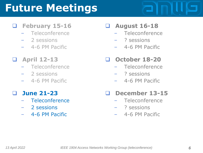## **Future Meetings**

#### **February 15-16**

- Teleconference
- 2 sessions
- 4-6 PM Pacific

#### **April 12-13**

- Teleconference
- 2 sessions
- 4-6 PM Pacific

#### **June 21-23**

- Teleconference
- 2 sessions
- 4-6 PM Pacific

#### **August 16-18**

- Teleconference
- ? sessions
- 4-6 PM Pacific

#### **October 18-20**

- Teleconference
- ? sessions
- 4-6 PM Pacific

#### **December 13-15**

- Teleconference
- ? sessions
- 4-6 PM Pacific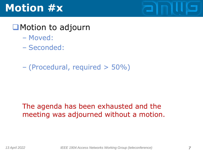## **Motion #x**

### **■**Motion to adjourn

- Moved:
- Seconded:
- (Procedural, required > 50%)

#### The agenda has been exhausted and the meeting was adjourned without a motion.